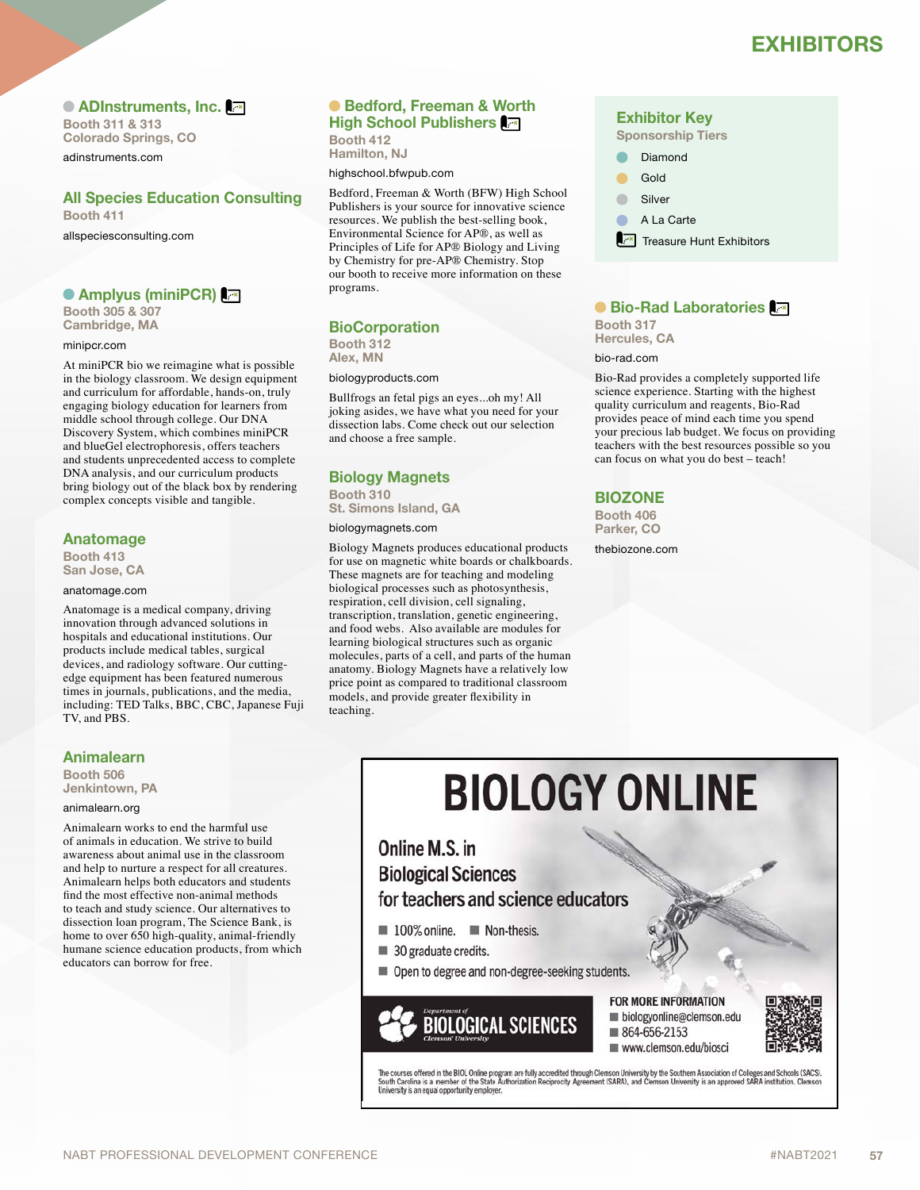# **EXHIBITORS EXHIBITORS**

● ADInstruments, Inc. **A** 

**Booth 311 & 313 Colorado Springs, CO** adinstruments.com

### **All Species Education Consulting Booth 411**

allspeciesconsulting.com

### **Amplyus (miniPCR)**

**Booth 305 & 307 Cambridge, MA**

#### minipcr.com

At miniPCR bio we reimagine what is possible in the biology classroom. We design equipment and curriculum for affordable, hands-on, truly engaging biology education for learners from middle school through college. Our DNA Discovery System, which combines miniPCR and blueGel electrophoresis, offers teachers and students unprecedented access to complete DNA analysis, and our curriculum products bring biology out of the black box by rendering complex concepts visible and tangible.

### **Anatomage**

**Booth 413 San Jose, CA**

#### anatomage.com

Anatomage is a medical company, driving innovation through advanced solutions in hospitals and educational institutions. Our products include medical tables, surgical devices, and radiology software. Our cuttingedge equipment has been featured numerous times in journals, publications, and the media, including: TED Talks, BBC, CBC, Japanese Fuji TV, and PBS.

### **Animalearn**

**Booth 506 Jenkintown, PA**

#### animalearn.org

Animalearn works to end the harmful use of animals in education. We strive to build awareness about animal use in the classroom and help to nurture a respect for all creatures. Animalearn helps both educators and students find the most effective non-animal methods to teach and study science. Our alternatives to dissection loan program, The Science Bank, is home to over 650 high-quality, animal-friendly humane science education products, from which educators can borrow for free.

### **Bedford, Freeman & Worth High School Publishers**

**Booth 412 Hamilton, NJ**

highschool.bfwpub.com

Bedford, Freeman & Worth (BFW) High School Publishers is your source for innovative science resources. We publish the best-selling book, Environmental Science for AP®, as well as Principles of Life for AP® Biology and Living by Chemistry for pre-AP® Chemistry. Stop our booth to receive more information on these programs.

### **BioCorporation**

**Booth 312 Alex, MN**

#### biologyproducts.com

Bullfrogs an fetal pigs an eyes...oh my! All joking asides, we have what you need for your dissection labs. Come check out our selection and choose a free sample.

### **Biology Magnets**

**Booth 310 St. Simons Island, GA**

### biologymagnets.com

Biology Magnets produces educational products for use on magnetic white boards or chalkboards. These magnets are for teaching and modeling biological processes such as photosynthesis, respiration, cell division, cell signaling, transcription, translation, genetic engineering, and food webs. Also available are modules for learning biological structures such as organic molecules, parts of a cell, and parts of the human anatomy. Biology Magnets have a relatively low price point as compared to traditional classroom models, and provide greater flexibility in teaching.

### **Exhibitor Key**

**Sponsorship Tiers**

 Diamond Gold

Silver

A La Carte

 $\overline{\mathbb{R}^{\infty}}$  Treasure Hunt Exhibitors

### **Bio-Rad Laboratories**

**Booth 317 Hercules, CA**

#### bio-rad.com

Bio-Rad provides a completely supported life science experience. Starting with the highest quality curriculum and reagents, Bio-Rad provides peace of mind each time you spend your precious lab budget. We focus on providing teachers with the best resources possible so you can focus on what you do best – teach!

### **BIOZONE**

**Booth 406 Parker, CO**

thebiozone.com

# **BIOLOGY ONLINE**

Online M.S. in **Biological Sciences** for teachers and science educators

- 100% online. Non-thesis.
- 30 graduate credits.
- Open to degree and non-degree-seeking students.

**BIOLOGICAL SCIENCES** 

### **FOR MORE INFORMATION** biologyonline@clemson.edu

864-656-2153 www.clemson.edu/biosci



The courses offered in the BIOL Online program are fully accredited through Clemson University by the Southern Association of Colleges and Schools (SACS).<br>South Carolina is a member of the State Authorization Reciprocity A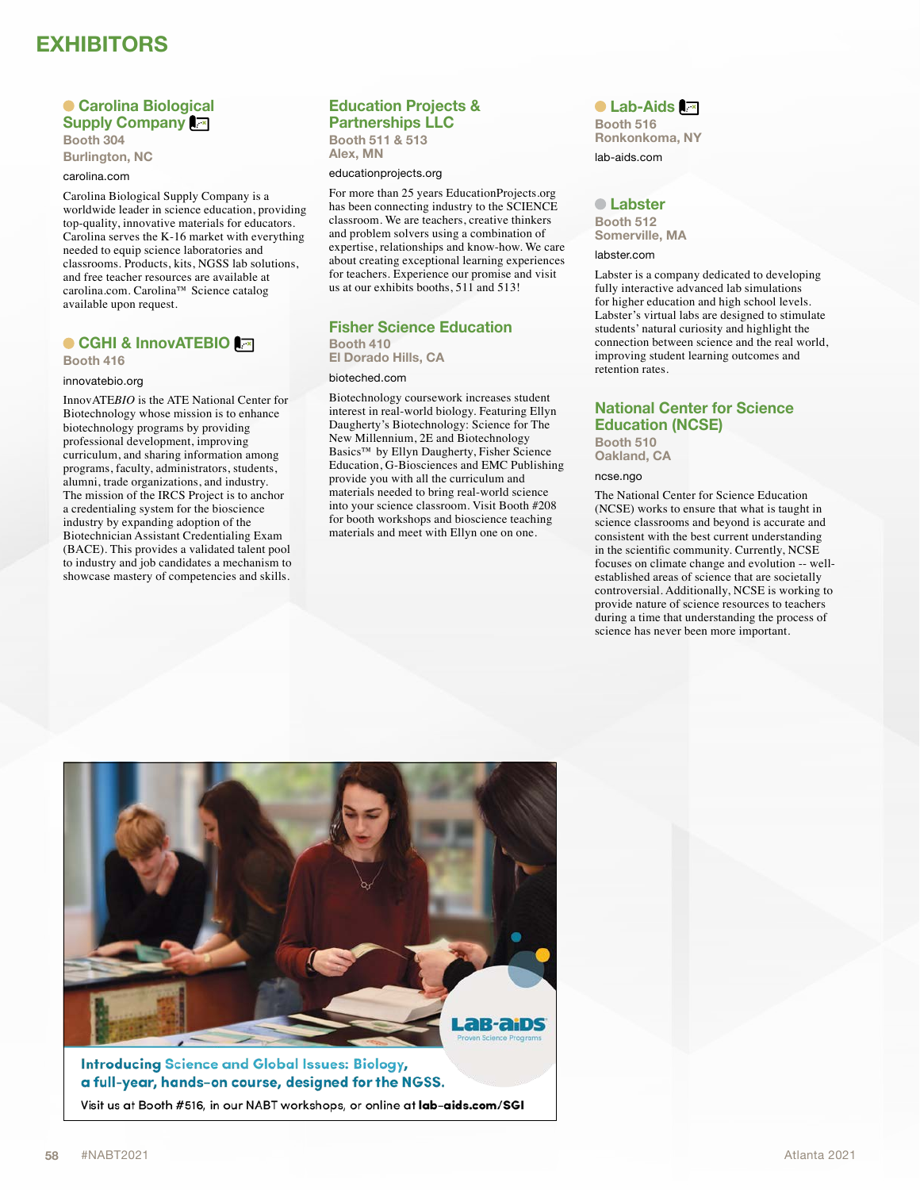# **EXHIBITORS**

### **Carolina Biological Supply Company Booth 304**

**Burlington, NC**

### carolina.com

Carolina Biological Supply Company is a worldwide leader in science education, providing top-quality, innovative materials for educators. Carolina serves the K-16 market with everything needed to equip science laboratories and classrooms. Products, kits, NGSS lab solutions, and free teacher resources are available at carolina.com. Carolina™ Science catalog available upon request.

### **CGHI & InnovATEBIO**

**Booth 416**

#### innovatebio.org

InnovATE*BIO* is the ATE National Center for Biotechnology whose mission is to enhance biotechnology programs by providing professional development, improving curriculum, and sharing information among programs, faculty, administrators, students, alumni, trade organizations, and industry. The mission of the IRCS Project is to anchor a credentialing system for the bioscience industry by expanding adoption of the Biotechnician Assistant Credentialing Exam (BACE). This provides a validated talent pool to industry and job candidates a mechanism to showcase mastery of competencies and skills.

### **Education Projects &**

**Partnerships LLC Booth 511 & 513 Alex, MN**

#### educationprojects.org

For more than 25 years EducationProjects.org has been connecting industry to the SCIENCE classroom. We are teachers, creative thinkers and problem solvers using a combination of expertise, relationships and know-how. We care about creating exceptional learning experiences for teachers. Experience our promise and visit us at our exhibits booths, 511 and 513!

### **Fisher Science Education Booth 410**

**El Dorado Hills, CA**

### bioteched.com

Biotechnology coursework increases student interest in real-world biology. Featuring Ellyn Daugherty's Biotechnology: Science for The New Millennium, 2E and Biotechnology Basics™ by Ellyn Daugherty, Fisher Science Education, G-Biosciences and EMC Publishing provide you with all the curriculum and materials needed to bring real-world science into your science classroom. Visit Booth #208 for booth workshops and bioscience teaching materials and meet with Ellyn one on one.

### ● Lab-Aids **A**<sub>×</sub>

**Booth 516 Ronkonkoma, NY**

lab-aids.com

#### **Labster**

**Booth 512 Somerville, MA**

labster.com

Labster is a company dedicated to developing fully interactive advanced lab simulations for higher education and high school levels. Labster's virtual labs are designed to stimulate students' natural curiosity and highlight the connection between science and the real world, improving student learning outcomes and retention rates.

### **National Center for Science Education (NCSE)**

**Booth 510 Oakland, CA**

ncse.ngo

The National Center for Science Education (NCSE) works to ensure that what is taught in science classrooms and beyond is accurate and consistent with the best current understanding in the scientific community. Currently, NCSE focuses on climate change and evolution -- wellestablished areas of science that are societally controversial. Additionally, NCSE is working to provide nature of science resources to teachers during a time that understanding the process of science has never been more important.



Visit us at Booth #516, in our NABT workshops, or online at lab-aids.com/SGI